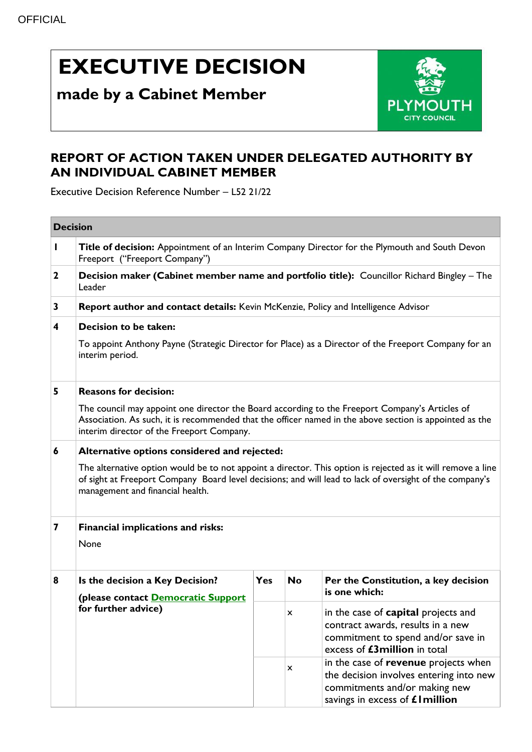# **EXECUTIVE DECISION**

## **made by a Cabinet Member**



### **REPORT OF ACTION TAKEN UNDER DELEGATED AUTHORITY BY AN INDIVIDUAL CABINET MEMBER**

Executive Decision Reference Number – L52 21/22

| <b>Decision</b>                   |                                                                                                                                                                                                                                                            |            |           |                                                                                                                                                       |  |  |  |
|-----------------------------------|------------------------------------------------------------------------------------------------------------------------------------------------------------------------------------------------------------------------------------------------------------|------------|-----------|-------------------------------------------------------------------------------------------------------------------------------------------------------|--|--|--|
| $\mathbf{I}$                      | Title of decision: Appointment of an Interim Company Director for the Plymouth and South Devon<br>Freeport ("Freeport Company")                                                                                                                            |            |           |                                                                                                                                                       |  |  |  |
| $\mathbf 2$                       | Decision maker (Cabinet member name and portfolio title): Councillor Richard Bingley - The<br>Leader                                                                                                                                                       |            |           |                                                                                                                                                       |  |  |  |
| 3                                 | Report author and contact details: Kevin McKenzie, Policy and Intelligence Advisor                                                                                                                                                                         |            |           |                                                                                                                                                       |  |  |  |
| 4                                 | Decision to be taken:                                                                                                                                                                                                                                      |            |           |                                                                                                                                                       |  |  |  |
|                                   | To appoint Anthony Payne (Strategic Director for Place) as a Director of the Freeport Company for an<br>interim period.                                                                                                                                    |            |           |                                                                                                                                                       |  |  |  |
| <b>Reasons for decision:</b><br>5 |                                                                                                                                                                                                                                                            |            |           |                                                                                                                                                       |  |  |  |
|                                   | The council may appoint one director the Board according to the Freeport Company's Articles of<br>Association. As such, it is recommended that the officer named in the above section is appointed as the<br>interim director of the Freeport Company.     |            |           |                                                                                                                                                       |  |  |  |
| 6                                 | Alternative options considered and rejected:                                                                                                                                                                                                               |            |           |                                                                                                                                                       |  |  |  |
|                                   | The alternative option would be to not appoint a director. This option is rejected as it will remove a line<br>of sight at Freeport Company Board level decisions; and will lead to lack of oversight of the company's<br>management and financial health. |            |           |                                                                                                                                                       |  |  |  |
| 7                                 | Financial implications and risks:                                                                                                                                                                                                                          |            |           |                                                                                                                                                       |  |  |  |
|                                   | None                                                                                                                                                                                                                                                       |            |           |                                                                                                                                                       |  |  |  |
| 8                                 | Is the decision a Key Decision?<br>(please contact Democratic Support                                                                                                                                                                                      | <b>Yes</b> | <b>No</b> | Per the Constitution, a key decision<br>is one which:                                                                                                 |  |  |  |
|                                   | for further advice)                                                                                                                                                                                                                                        |            | x         | in the case of <b>capital</b> projects and<br>contract awards, results in a new<br>commitment to spend and/or save in<br>excess of £3million in total |  |  |  |
|                                   |                                                                                                                                                                                                                                                            |            | x         | in the case of revenue projects when<br>the decision involves entering into new<br>commitments and/or making new<br>savings in excess of £1 million   |  |  |  |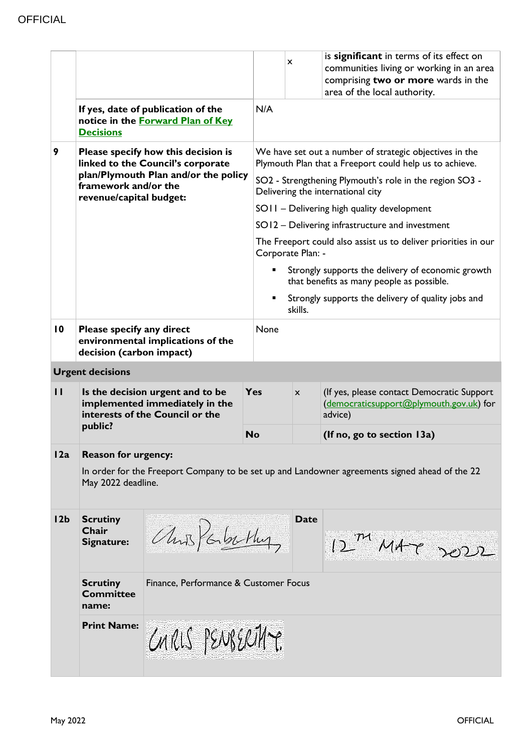|                 | <b>Decisions</b>                                                                                                                                                    | If yes, date of publication of the<br>notice in the Forward Plan of Key | N/A       | x                                                                                                                  | is significant in terms of its effect on<br>communities living or working in an area<br>comprising two or more wards in the<br>area of the local authority. |  |  |  |  |
|-----------------|---------------------------------------------------------------------------------------------------------------------------------------------------------------------|-------------------------------------------------------------------------|-----------|--------------------------------------------------------------------------------------------------------------------|-------------------------------------------------------------------------------------------------------------------------------------------------------------|--|--|--|--|
| 9               | Please specify how this decision is<br>linked to the Council's corporate<br>plan/Plymouth Plan and/or the policy<br>framework and/or the<br>revenue/capital budget: |                                                                         |           | We have set out a number of strategic objectives in the<br>Plymouth Plan that a Freeport could help us to achieve. |                                                                                                                                                             |  |  |  |  |
|                 |                                                                                                                                                                     |                                                                         |           | SO2 - Strengthening Plymouth's role in the region SO3 -<br>Delivering the international city                       |                                                                                                                                                             |  |  |  |  |
|                 |                                                                                                                                                                     |                                                                         |           |                                                                                                                    | SOII - Delivering high quality development                                                                                                                  |  |  |  |  |
|                 |                                                                                                                                                                     |                                                                         |           |                                                                                                                    | SO12 - Delivering infrastructure and investment                                                                                                             |  |  |  |  |
|                 |                                                                                                                                                                     |                                                                         |           | The Freeport could also assist us to deliver priorities in our<br>Corporate Plan: -                                |                                                                                                                                                             |  |  |  |  |
|                 |                                                                                                                                                                     |                                                                         |           | Strongly supports the delivery of economic growth<br>that benefits as many people as possible.                     |                                                                                                                                                             |  |  |  |  |
|                 |                                                                                                                                                                     |                                                                         |           | Strongly supports the delivery of quality jobs and<br>skills.                                                      |                                                                                                                                                             |  |  |  |  |
| $\overline{10}$ | Please specify any direct<br>decision (carbon impact)                                                                                                               | environmental implications of the                                       | None      |                                                                                                                    |                                                                                                                                                             |  |  |  |  |
|                 | <b>Urgent decisions</b>                                                                                                                                             |                                                                         |           |                                                                                                                    |                                                                                                                                                             |  |  |  |  |
| $\mathbf{H}$    | Is the decision urgent and to be<br>implemented immediately in the<br>interests of the Council or the<br>public?                                                    |                                                                         | Yes       | $\mathsf{x}$                                                                                                       | (If yes, please contact Democratic Support<br>(democraticsupport@plymouth.gov.uk) for<br>advice)                                                            |  |  |  |  |
|                 |                                                                                                                                                                     |                                                                         | <b>No</b> |                                                                                                                    | (If no, go to section 13a)                                                                                                                                  |  |  |  |  |
| 12a             | <b>Reason for urgency:</b>                                                                                                                                          |                                                                         |           |                                                                                                                    |                                                                                                                                                             |  |  |  |  |
|                 | In order for the Freeport Company to be set up and Landowner agreements signed ahead of the 22<br>May 2022 deadline.                                                |                                                                         |           |                                                                                                                    |                                                                                                                                                             |  |  |  |  |
| 12 <sub>b</sub> | <b>Scrutiny</b><br>Chair<br>Signature:                                                                                                                              | aus Parkethy                                                            |           | <b>Date</b>                                                                                                        | 12 MAZ 2022                                                                                                                                                 |  |  |  |  |
|                 | <b>Scrutiny</b><br><b>Committee</b><br>name:                                                                                                                        | Finance, Performance & Customer Focus                                   |           |                                                                                                                    |                                                                                                                                                             |  |  |  |  |
|                 | <b>Print Name:</b>                                                                                                                                                  | CARLS PENBERTHY.                                                        |           |                                                                                                                    |                                                                                                                                                             |  |  |  |  |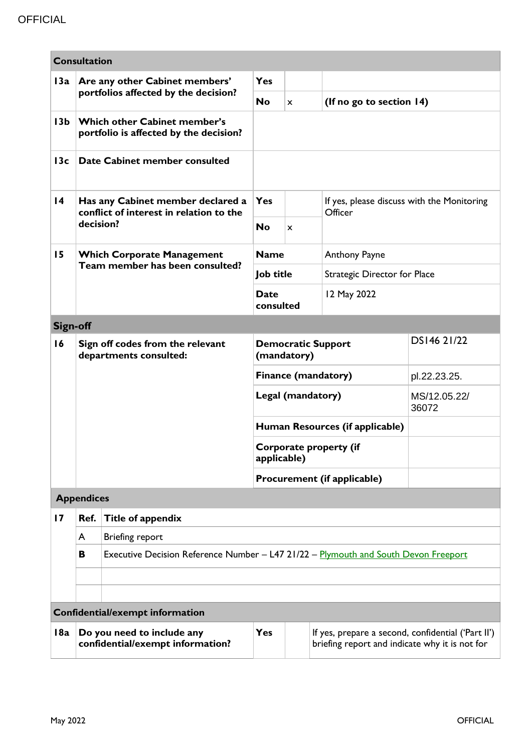| <b>Consultation</b>             |                                                                                                                                                                                      |                                                                                     |                                          |                                                       |                                 |                       |  |  |  |
|---------------------------------|--------------------------------------------------------------------------------------------------------------------------------------------------------------------------------------|-------------------------------------------------------------------------------------|------------------------------------------|-------------------------------------------------------|---------------------------------|-----------------------|--|--|--|
| 13a                             | Are any other Cabinet members'                                                                                                                                                       | <b>Yes</b>                                                                          |                                          |                                                       |                                 |                       |  |  |  |
|                                 | portfolios affected by the decision?                                                                                                                                                 |                                                                                     | <b>No</b>                                | $\mathsf{x}$                                          | (If no go to section 14)        |                       |  |  |  |
| 13 <sub>b</sub>                 |                                                                                                                                                                                      | Which other Cabinet member's<br>portfolio is affected by the decision?              |                                          |                                                       |                                 |                       |  |  |  |
| 13c                             |                                                                                                                                                                                      | Date Cabinet member consulted                                                       |                                          |                                                       |                                 |                       |  |  |  |
| $\overline{14}$                 | Has any Cabinet member declared a<br>conflict of interest in relation to the<br>decision?                                                                                            | <b>Yes</b>                                                                          |                                          | If yes, please discuss with the Monitoring<br>Officer |                                 |                       |  |  |  |
|                                 |                                                                                                                                                                                      | <b>No</b>                                                                           | x                                        |                                                       |                                 |                       |  |  |  |
| 15                              | <b>Which Corporate Management</b><br>Team member has been consulted?                                                                                                                 | <b>Name</b>                                                                         |                                          | Anthony Payne                                         |                                 |                       |  |  |  |
|                                 |                                                                                                                                                                                      | Job title                                                                           |                                          |                                                       | Strategic Director for Place    |                       |  |  |  |
|                                 |                                                                                                                                                                                      |                                                                                     | <b>Date</b><br>consulted                 |                                                       | 12 May 2022                     |                       |  |  |  |
| <b>Sign-off</b>                 |                                                                                                                                                                                      |                                                                                     |                                          |                                                       |                                 |                       |  |  |  |
| 16                              | Sign off codes from the relevant<br>departments consulted:                                                                                                                           |                                                                                     | <b>Democratic Support</b><br>(mandatory) |                                                       |                                 | DS146 21/22           |  |  |  |
|                                 |                                                                                                                                                                                      |                                                                                     | Finance (mandatory)                      |                                                       |                                 | pl.22.23.25.          |  |  |  |
|                                 |                                                                                                                                                                                      |                                                                                     |                                          | Legal (mandatory)                                     |                                 | MS/12.05.22/<br>36072 |  |  |  |
|                                 |                                                                                                                                                                                      |                                                                                     |                                          |                                                       | Human Resources (if applicable) |                       |  |  |  |
|                                 |                                                                                                                                                                                      |                                                                                     | Corporate property (if<br>applicable)    |                                                       |                                 |                       |  |  |  |
|                                 |                                                                                                                                                                                      |                                                                                     |                                          |                                                       | Procurement (if applicable)     |                       |  |  |  |
| <b>Appendices</b>               |                                                                                                                                                                                      |                                                                                     |                                          |                                                       |                                 |                       |  |  |  |
| 17                              | Ref.                                                                                                                                                                                 | Title of appendix                                                                   |                                          |                                                       |                                 |                       |  |  |  |
|                                 | A                                                                                                                                                                                    | Briefing report                                                                     |                                          |                                                       |                                 |                       |  |  |  |
|                                 | В                                                                                                                                                                                    | Executive Decision Reference Number - L47 21/22 - Plymouth and South Devon Freeport |                                          |                                                       |                                 |                       |  |  |  |
|                                 |                                                                                                                                                                                      |                                                                                     |                                          |                                                       |                                 |                       |  |  |  |
|                                 |                                                                                                                                                                                      |                                                                                     |                                          |                                                       |                                 |                       |  |  |  |
| Confidential/exempt information |                                                                                                                                                                                      |                                                                                     |                                          |                                                       |                                 |                       |  |  |  |
| 18a                             | Do you need to include any<br><b>Yes</b><br>If yes, prepare a second, confidential ('Part II')<br>confidential/exempt information?<br>briefing report and indicate why it is not for |                                                                                     |                                          |                                                       |                                 |                       |  |  |  |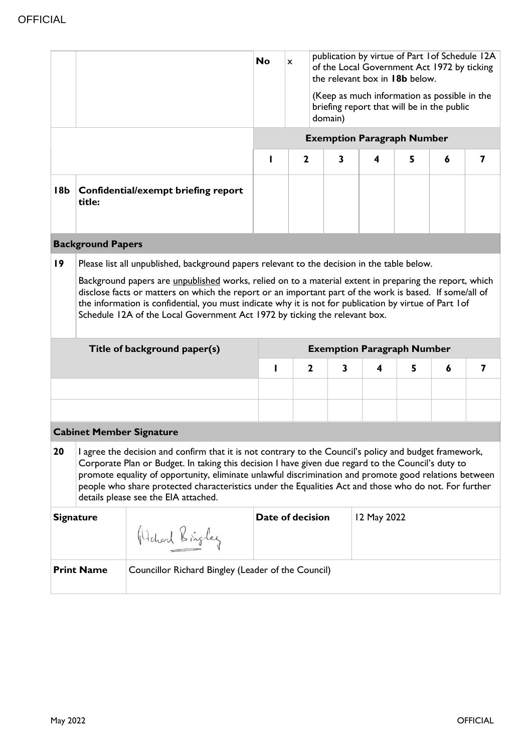|                                                                                                                                                                                                                                                                                                                                                                                                                                                                              |                                                                                                                                                                                                                                                                                                                                                                                                                                                                                        |                                     | publication by virtue of Part 1 of Schedule 12A<br><b>No</b><br>$\mathsf{x}$<br>of the Local Government Act 1972 by ticking<br>the relevant box in 18b below.<br>(Keep as much information as possible in the<br>briefing report that will be in the public<br>domain)<br><b>Exemption Paragraph Number</b><br>$\mathbf 2$<br>3<br>5<br>4<br>6<br>7 |                  |   |             |   |   |   |  |
|------------------------------------------------------------------------------------------------------------------------------------------------------------------------------------------------------------------------------------------------------------------------------------------------------------------------------------------------------------------------------------------------------------------------------------------------------------------------------|----------------------------------------------------------------------------------------------------------------------------------------------------------------------------------------------------------------------------------------------------------------------------------------------------------------------------------------------------------------------------------------------------------------------------------------------------------------------------------------|-------------------------------------|-----------------------------------------------------------------------------------------------------------------------------------------------------------------------------------------------------------------------------------------------------------------------------------------------------------------------------------------------------|------------------|---|-------------|---|---|---|--|
| 18 <sub>b</sub>                                                                                                                                                                                                                                                                                                                                                                                                                                                              | title:                                                                                                                                                                                                                                                                                                                                                                                                                                                                                 | Confidential/exempt briefing report |                                                                                                                                                                                                                                                                                                                                                     |                  |   |             |   |   |   |  |
|                                                                                                                                                                                                                                                                                                                                                                                                                                                                              | <b>Background Papers</b>                                                                                                                                                                                                                                                                                                                                                                                                                                                               |                                     |                                                                                                                                                                                                                                                                                                                                                     |                  |   |             |   |   |   |  |
|                                                                                                                                                                                                                                                                                                                                                                                                                                                                              | Background papers are <i>unpublished</i> works, relied on to a material extent in preparing the report, which<br>disclose facts or matters on which the report or an important part of the work is based. If some/all of<br>the information is confidential, you must indicate why it is not for publication by virtue of Part 1 of<br>Schedule 12A of the Local Government Act 1972 by ticking the relevant box.<br>Title of background paper(s)<br><b>Exemption Paragraph Number</b> |                                     |                                                                                                                                                                                                                                                                                                                                                     |                  |   |             |   |   |   |  |
|                                                                                                                                                                                                                                                                                                                                                                                                                                                                              |                                                                                                                                                                                                                                                                                                                                                                                                                                                                                        |                                     | ı                                                                                                                                                                                                                                                                                                                                                   | $\mathbf{2}$     | 3 | 4           | 5 | 6 | 7 |  |
|                                                                                                                                                                                                                                                                                                                                                                                                                                                                              |                                                                                                                                                                                                                                                                                                                                                                                                                                                                                        |                                     |                                                                                                                                                                                                                                                                                                                                                     |                  |   |             |   |   |   |  |
|                                                                                                                                                                                                                                                                                                                                                                                                                                                                              |                                                                                                                                                                                                                                                                                                                                                                                                                                                                                        |                                     |                                                                                                                                                                                                                                                                                                                                                     |                  |   |             |   |   |   |  |
| <b>Cabinet Member Signature</b>                                                                                                                                                                                                                                                                                                                                                                                                                                              |                                                                                                                                                                                                                                                                                                                                                                                                                                                                                        |                                     |                                                                                                                                                                                                                                                                                                                                                     |                  |   |             |   |   |   |  |
| 20<br>I agree the decision and confirm that it is not contrary to the Council's policy and budget framework,<br>Corporate Plan or Budget. In taking this decision I have given due regard to the Council's duty to<br>promote equality of opportunity, eliminate unlawful discrimination and promote good relations between<br>people who share protected characteristics under the Equalities Act and those who do not. For further<br>details please see the EIA attached. |                                                                                                                                                                                                                                                                                                                                                                                                                                                                                        |                                     |                                                                                                                                                                                                                                                                                                                                                     |                  |   |             |   |   |   |  |
|                                                                                                                                                                                                                                                                                                                                                                                                                                                                              |                                                                                                                                                                                                                                                                                                                                                                                                                                                                                        |                                     |                                                                                                                                                                                                                                                                                                                                                     |                  |   |             |   |   |   |  |
|                                                                                                                                                                                                                                                                                                                                                                                                                                                                              | <b>Signature</b>                                                                                                                                                                                                                                                                                                                                                                                                                                                                       | Hichard Bringley                    |                                                                                                                                                                                                                                                                                                                                                     | Date of decision |   | 12 May 2022 |   |   |   |  |